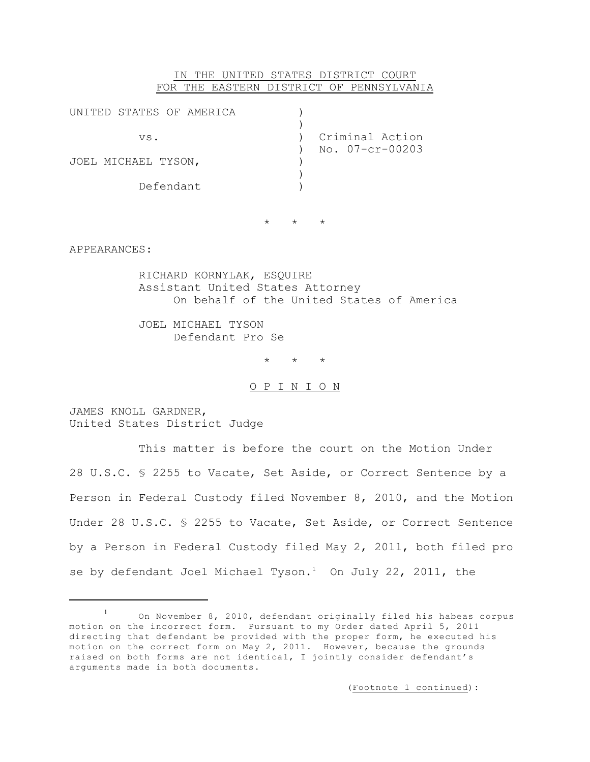## IN THE UNITED STATES DISTRICT COURT FOR THE EASTERN DISTRICT OF PENNSYLVANIA

| UNITED STATES OF AMERICA |                 |
|--------------------------|-----------------|
| VS.                      | Criminal Action |
| JOEL MICHAEL TYSON,      | No. 07-cr-00203 |
| Defendant                |                 |
|                          |                 |

\* \* \*

APPEARANCES:

RICHARD KORNYLAK, ESQUIRE Assistant United States Attorney On behalf of the United States of America

JOEL MICHAEL TYSON Defendant Pro Se

\* \* \*

O P I N I O N

JAMES KNOLL GARDNER, United States District Judge

This matter is before the court on the Motion Under 28 U.S.C. § 2255 to Vacate, Set Aside, or Correct Sentence by a Person in Federal Custody filed November 8, 2010, and the Motion Under 28 U.S.C. § 2255 to Vacate, Set Aside, or Correct Sentence by a Person in Federal Custody filed May 2, 2011, both filed pro se by defendant Joel Michael Tyson.<sup>1</sup> On July 22, 2011, the

(Footnote 1 continued):

On November 8, 2010, defendant originally filed his habeas corpus 1 motion on the incorrect form. Pursuant to my Order dated April 5, 2011 directing that defendant be provided with the proper form, he executed his motion on the correct form on May 2, 2011. However, because the grounds raised on both forms are not identical, I jointly consider defendant's arguments made in both documents.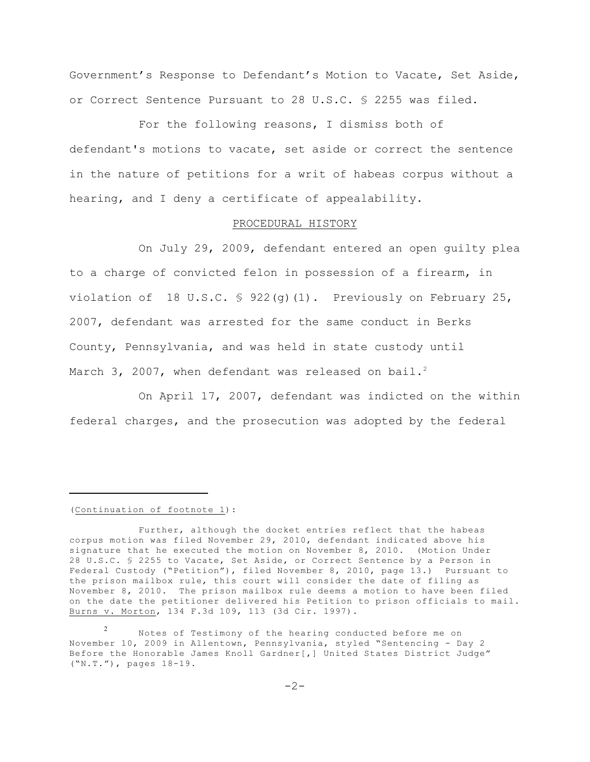Government's Response to Defendant's Motion to Vacate, Set Aside, or Correct Sentence Pursuant to 28 U.S.C. § 2255 was filed.

For the following reasons, I dismiss both of defendant's motions to vacate, set aside or correct the sentence in the nature of petitions for a writ of habeas corpus without a hearing, and I deny a certificate of appealability.

### PROCEDURAL HISTORY

On July 29, 2009, defendant entered an open guilty plea to a charge of convicted felon in possession of a firearm, in violation of 18 U.S.C.  $\frac{1}{2}$  922(q)(1). Previously on February 25, 2007, defendant was arrested for the same conduct in Berks County, Pennsylvania, and was held in state custody until March 3, 2007, when defendant was released on bail.<sup>2</sup>

On April 17, 2007, defendant was indicted on the within federal charges, and the prosecution was adopted by the federal

#### (Continuation of footnote 1):

Further, although the docket entries reflect that the habeas corpus motion was filed November 29, 2010, defendant indicated above his signature that he executed the motion on November 8, 2010. (Motion Under 28 U.S.C. § 2255 to Vacate, Set Aside, or Correct Sentence by a Person in Federal Custody ("Petition"), filed November 8, 2010, page 13.) Pursuant to the prison mailbox rule, this court will consider the date of filing as November 8, 2010. The prison mailbox rule deems a motion to have been filed on the date the petitioner delivered his Petition to prison officials to mail. Burns v. Morton, 134 F.3d 109, 113 (3d Cir. 1997).

Notes of Testimony of the hearing conducted before me on 2 November 10, 2009 in Allentown, Pennsylvania, styled "Sentencing - Day 2 Before the Honorable James Knoll Gardner[,] United States District Judge" ("N.T."), pages 18-19.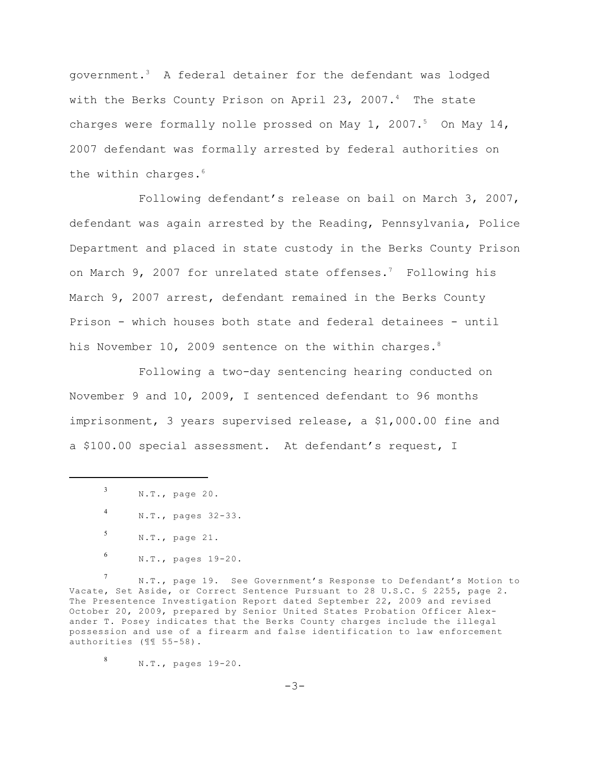government.<sup>3</sup> A federal detainer for the defendant was lodged with the Berks County Prison on April 23, 2007.<sup>4</sup> The state charges were formally nolle prossed on May 1, 2007.<sup>5</sup> On May 14, 2007 defendant was formally arrested by federal authorities on the within charges.<sup>6</sup>

Following defendant's release on bail on March 3, 2007, defendant was again arrested by the Reading, Pennsylvania, Police Department and placed in state custody in the Berks County Prison on March 9, 2007 for unrelated state offenses.<sup>7</sup> Following his March 9, 2007 arrest, defendant remained in the Berks County Prison - which houses both state and federal detainees - until his November 10, 2009 sentence on the within charges.<sup>8</sup>

Following a two-day sentencing hearing conducted on November 9 and 10, 2009, I sentenced defendant to 96 months imprisonment, 3 years supervised release, a \$1,000.00 fine and a \$100.00 special assessment. At defendant's request, I

N.T., page 19. See Government's Response to Defendant's Motion to 7 Vacate, Set Aside, or Correct Sentence Pursuant to 28 U.S.C. § 2255, page 2. The Presentence Investigation Report dated September 22, 2009 and revised October 20, 2009, prepared by Senior United States Probation Officer Alexander T. Posey indicates that the Berks County charges include the illegal possession and use of a firearm and false identification to law enforcement authorities (¶¶ 55-58).

N.T., pages 19-20. 8

 $-3-$ 

N.T., page 20. 3

N.T., pages 32-33. 4

N.T., page 21. 5

N.T., pages 19-20. 6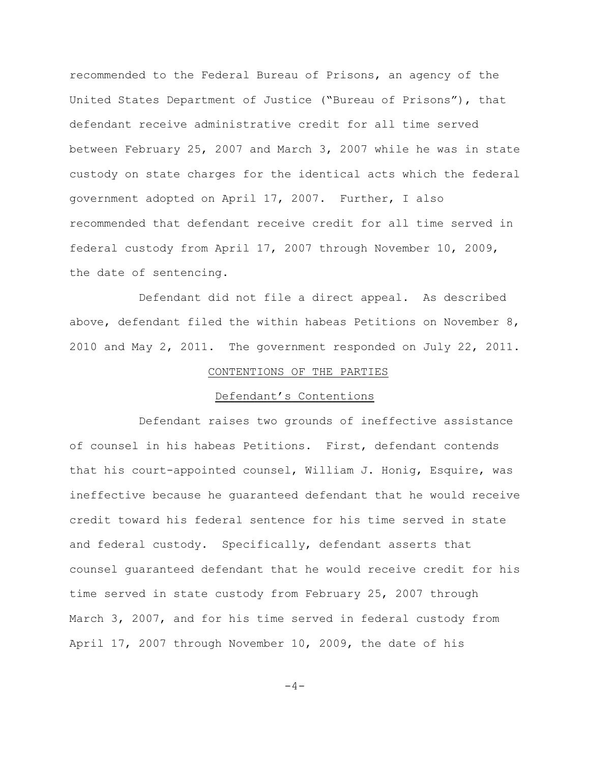recommended to the Federal Bureau of Prisons, an agency of the United States Department of Justice ("Bureau of Prisons"), that defendant receive administrative credit for all time served between February 25, 2007 and March 3, 2007 while he was in state custody on state charges for the identical acts which the federal government adopted on April 17, 2007. Further, I also recommended that defendant receive credit for all time served in federal custody from April 17, 2007 through November 10, 2009, the date of sentencing.

Defendant did not file a direct appeal. As described above, defendant filed the within habeas Petitions on November 8, 2010 and May 2, 2011. The government responded on July 22, 2011.

## CONTENTIONS OF THE PARTIES

# Defendant's Contentions

Defendant raises two grounds of ineffective assistance of counsel in his habeas Petitions. First, defendant contends that his court-appointed counsel, William J. Honig, Esquire, was ineffective because he guaranteed defendant that he would receive credit toward his federal sentence for his time served in state and federal custody. Specifically, defendant asserts that counsel guaranteed defendant that he would receive credit for his time served in state custody from February 25, 2007 through March 3, 2007, and for his time served in federal custody from April 17, 2007 through November 10, 2009, the date of his

 $-4-$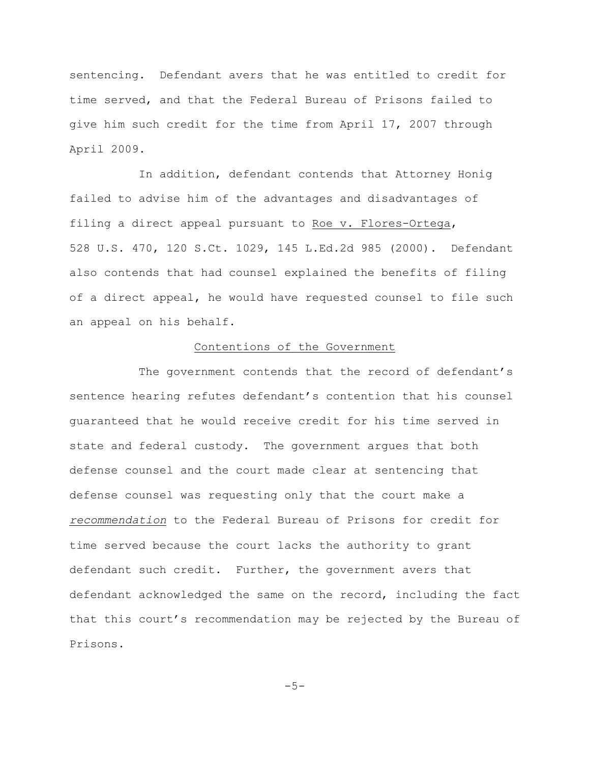sentencing. Defendant avers that he was entitled to credit for time served, and that the Federal Bureau of Prisons failed to give him such credit for the time from April 17, 2007 through April 2009.

In addition, defendant contends that Attorney Honig failed to advise him of the advantages and disadvantages of filing a direct appeal pursuant to Roe v. Flores-Ortega, 528 U.S. 470, 120 S.Ct. 1029, 145 L.Ed.2d 985 (2000). Defendant also contends that had counsel explained the benefits of filing of a direct appeal, he would have requested counsel to file such an appeal on his behalf.

## Contentions of the Government

The government contends that the record of defendant's sentence hearing refutes defendant's contention that his counsel guaranteed that he would receive credit for his time served in state and federal custody. The government argues that both defense counsel and the court made clear at sentencing that defense counsel was requesting only that the court make a *recommendation* to the Federal Bureau of Prisons for credit for time served because the court lacks the authority to grant defendant such credit. Further, the government avers that defendant acknowledged the same on the record, including the fact that this court's recommendation may be rejected by the Bureau of Prisons.

 $-5-$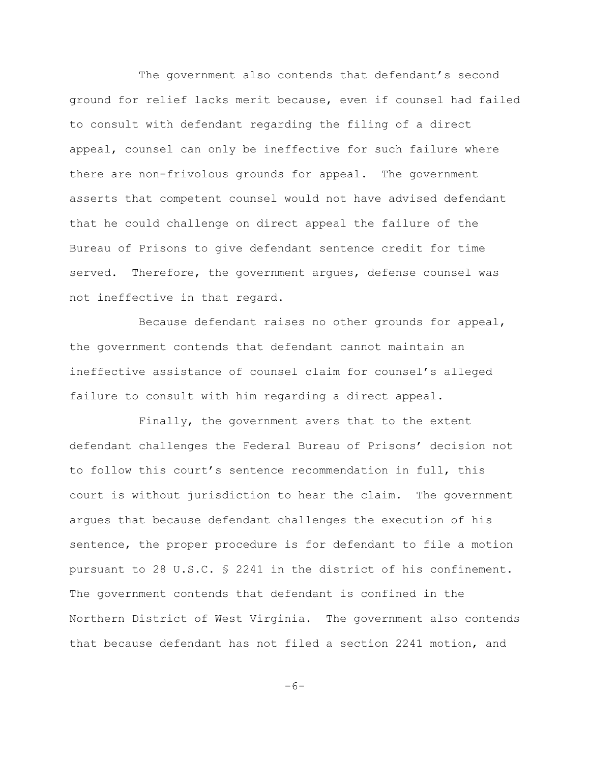The government also contends that defendant's second ground for relief lacks merit because, even if counsel had failed to consult with defendant regarding the filing of a direct appeal, counsel can only be ineffective for such failure where there are non-frivolous grounds for appeal. The government asserts that competent counsel would not have advised defendant that he could challenge on direct appeal the failure of the Bureau of Prisons to give defendant sentence credit for time served. Therefore, the government argues, defense counsel was not ineffective in that regard.

Because defendant raises no other grounds for appeal, the government contends that defendant cannot maintain an ineffective assistance of counsel claim for counsel's alleged failure to consult with him regarding a direct appeal.

Finally, the government avers that to the extent defendant challenges the Federal Bureau of Prisons' decision not to follow this court's sentence recommendation in full, this court is without jurisdiction to hear the claim. The government argues that because defendant challenges the execution of his sentence, the proper procedure is for defendant to file a motion pursuant to 28 U.S.C. § 2241 in the district of his confinement. The government contends that defendant is confined in the Northern District of West Virginia. The government also contends that because defendant has not filed a section 2241 motion, and

 $-6-$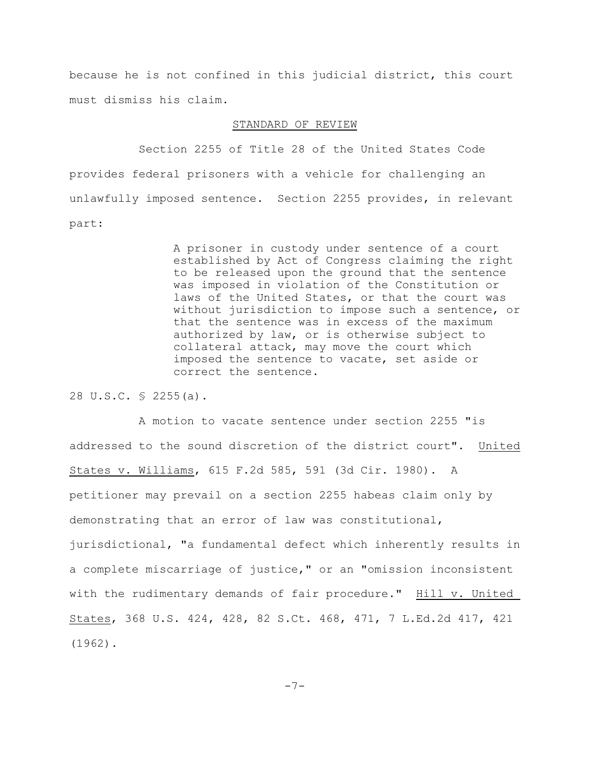because he is not confined in this judicial district, this court must dismiss his claim.

## STANDARD OF REVIEW

Section 2255 of Title 28 of the United States Code provides federal prisoners with a vehicle for challenging an unlawfully imposed sentence. Section 2255 provides, in relevant part:

> A prisoner in custody under sentence of a court established by Act of Congress claiming the right to be released upon the ground that the sentence was imposed in violation of the Constitution or laws of the United States, or that the court was without jurisdiction to impose such a sentence, or that the sentence was in excess of the maximum authorized by law, or is otherwise subject to collateral attack, may move the court which imposed the sentence to vacate, set aside or correct the sentence.

28 U.S.C. § 2255(a).

A motion to vacate sentence under section 2255 "is addressed to the sound discretion of the district court". United States v. Williams, 615 F.2d 585, 591 (3d Cir. 1980). A petitioner may prevail on a section 2255 habeas claim only by demonstrating that an error of law was constitutional, jurisdictional, "a fundamental defect which inherently results in a complete miscarriage of justice," or an "omission inconsistent with the rudimentary demands of fair procedure." Hill v. United States, 368 U.S. 424, 428, 82 S.Ct. 468, 471, 7 L.Ed.2d 417, 421 (1962).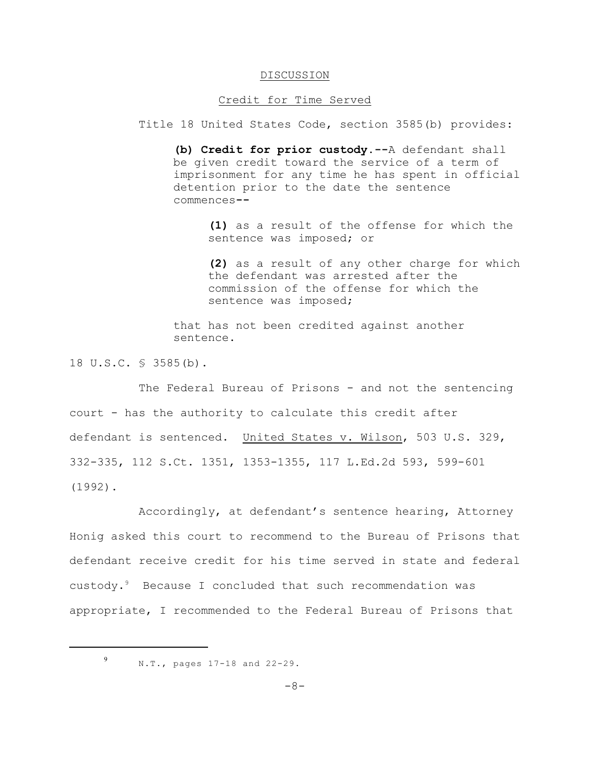### DISCUSSION

### Credit for Time Served

Title 18 United States Code, section 3585(b) provides:

**(b) Credit for prior custody.--**A defendant shall be given credit toward the service of a term of imprisonment for any time he has spent in official detention prior to the date the sentence commences**--**

> **(1)** as a result of the offense for which the sentence was imposed; or

**(2)** as a result of any other charge for which the defendant was arrested after the commission of the offense for which the sentence was imposed;

that has not been credited against another sentence.

18 U.S.C. § 3585(b).

The Federal Bureau of Prisons - and not the sentencing court - has the authority to calculate this credit after defendant is sentenced. United States v. Wilson, 503 U.S. 329, 332-335, 112 S.Ct. 1351, 1353-1355, 117 L.Ed.2d 593, 599-601 (1992).

Accordingly, at defendant's sentence hearing, Attorney Honig asked this court to recommend to the Bureau of Prisons that defendant receive credit for his time served in state and federal custody. $9$  Because I concluded that such recommendation was appropriate, I recommended to the Federal Bureau of Prisons that

9

N.T., pages 17-18 and 22-29.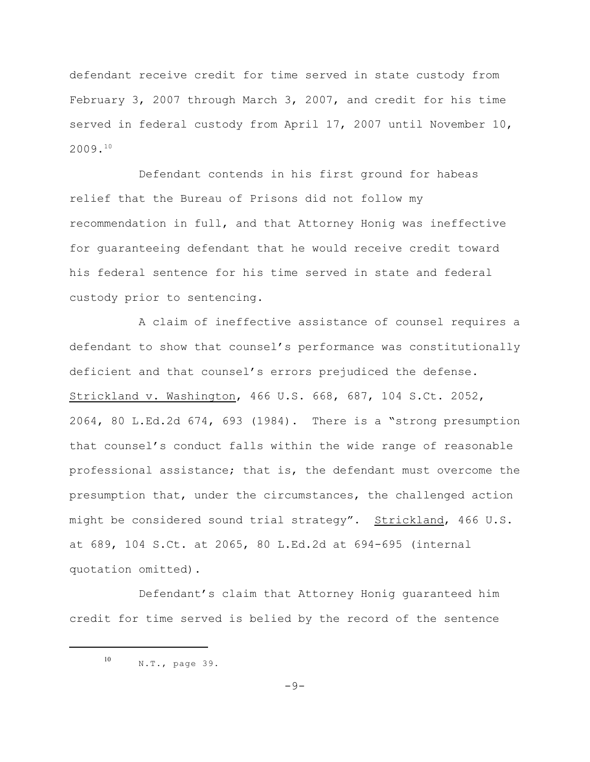defendant receive credit for time served in state custody from February 3, 2007 through March 3, 2007, and credit for his time served in federal custody from April 17, 2007 until November 10, 2009. 10

Defendant contends in his first ground for habeas relief that the Bureau of Prisons did not follow my recommendation in full, and that Attorney Honig was ineffective for guaranteeing defendant that he would receive credit toward his federal sentence for his time served in state and federal custody prior to sentencing.

A claim of ineffective assistance of counsel requires a defendant to show that counsel's performance was constitutionally deficient and that counsel's errors prejudiced the defense. Strickland v. Washington, 466 U.S. 668, 687, 104 S.Ct. 2052, 2064, 80 L.Ed.2d 674, 693 (1984). There is a "strong presumption that counsel's conduct falls within the wide range of reasonable professional assistance; that is, the defendant must overcome the presumption that, under the circumstances, the challenged action might be considered sound trial strategy". Strickland, 466 U.S. at 689, 104 S.Ct. at 2065, 80 L.Ed.2d at 694-695 (internal quotation omitted).

Defendant's claim that Attorney Honig guaranteed him credit for time served is belied by the record of the sentence

 $-9-$ 

N.T., page 39. 10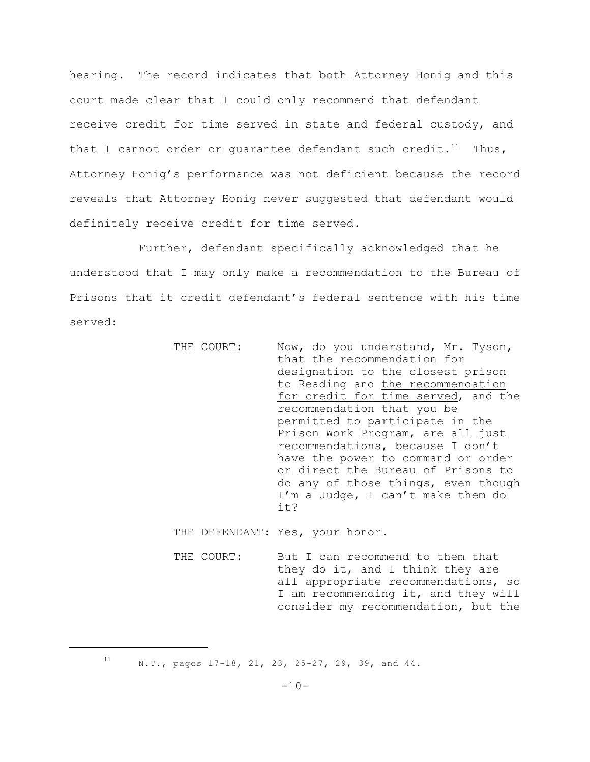hearing. The record indicates that both Attorney Honig and this court made clear that I could only recommend that defendant receive credit for time served in state and federal custody, and that I cannot order or quarantee defendant such credit.<sup>11</sup> Thus, Attorney Honig's performance was not deficient because the record reveals that Attorney Honig never suggested that defendant would definitely receive credit for time served.

Further, defendant specifically acknowledged that he understood that I may only make a recommendation to the Bureau of Prisons that it credit defendant's federal sentence with his time served:

| THE COURT: | Now, do you understand, Mr. Tyson,<br>that the recommendation for |
|------------|-------------------------------------------------------------------|
|            |                                                                   |
|            | designation to the closest prison                                 |
|            | to Reading and the recommendation                                 |
|            | for credit for time served, and the                               |
|            | recommendation that you be                                        |
|            | permitted to participate in the                                   |
|            | Prison Work Program, are all just                                 |
|            | recommendations, because I don't                                  |
|            | have the power to command or order                                |
|            | or direct the Bureau of Prisons to                                |
|            | do any of those things, even though                               |
|            | I'm a Judge, I can't make them do                                 |
|            |                                                                   |
|            | it?                                                               |
|            |                                                                   |

THE DEFENDANT: Yes, your honor.

THE COURT: But I can recommend to them that they do it, and I think they are all appropriate recommendations, so I am recommending it, and they will consider my recommendation, but the

11

N.T., pages 17-18, 21, 23, 25-27, 29, 39, and 44.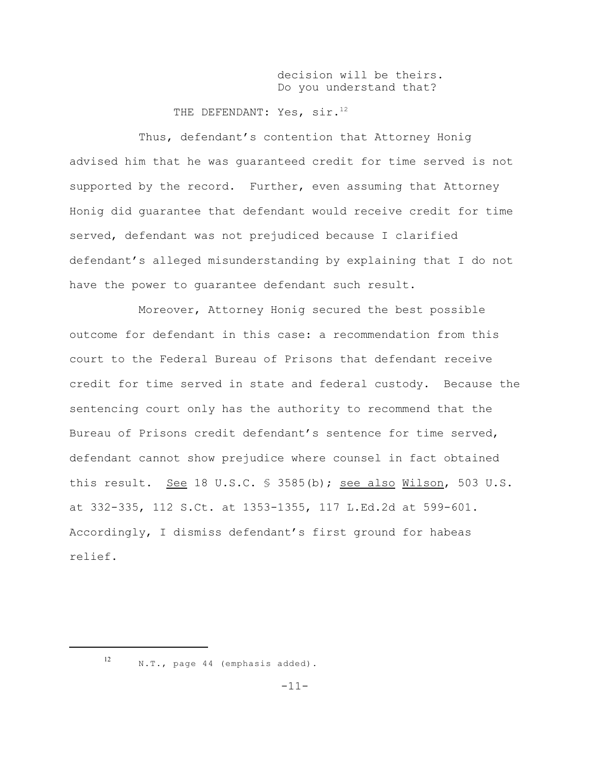decision will be theirs. Do you understand that?

THE DEFENDANT: Yes, sir.12

Thus, defendant's contention that Attorney Honig advised him that he was guaranteed credit for time served is not supported by the record. Further, even assuming that Attorney Honig did guarantee that defendant would receive credit for time served, defendant was not prejudiced because I clarified defendant's alleged misunderstanding by explaining that I do not have the power to guarantee defendant such result.

Moreover, Attorney Honig secured the best possible outcome for defendant in this case: a recommendation from this court to the Federal Bureau of Prisons that defendant receive credit for time served in state and federal custody. Because the sentencing court only has the authority to recommend that the Bureau of Prisons credit defendant's sentence for time served, defendant cannot show prejudice where counsel in fact obtained this result. See 18 U.S.C. § 3585(b); see also Wilson, 503 U.S. at 332-335, 112 S.Ct. at 1353-1355, 117 L.Ed.2d at 599-601. Accordingly, I dismiss defendant's first ground for habeas relief.

12

N.T., page 44 (emphasis added).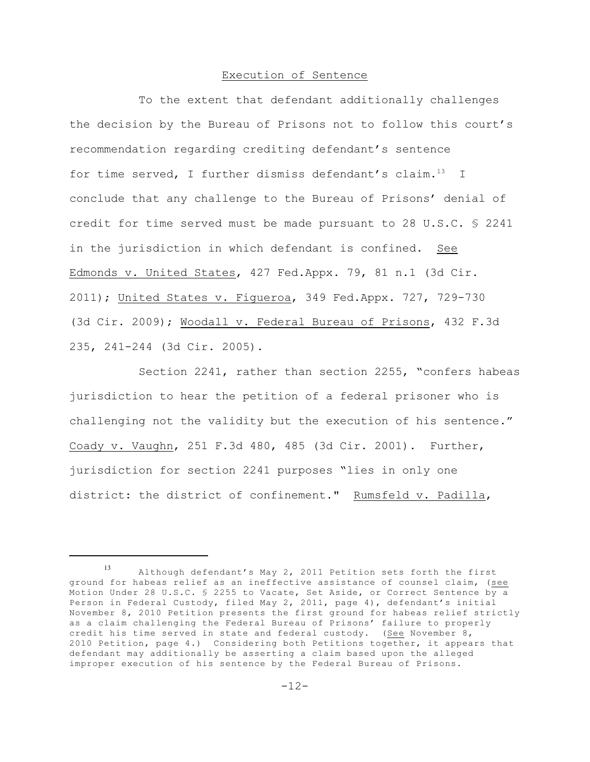# Execution of Sentence

To the extent that defendant additionally challenges the decision by the Bureau of Prisons not to follow this court's recommendation regarding crediting defendant's sentence for time served, I further dismiss defendant's claim. $^{13}$  I conclude that any challenge to the Bureau of Prisons' denial of credit for time served must be made pursuant to 28 U.S.C. § 2241 in the jurisdiction in which defendant is confined. See Edmonds v. United States, 427 Fed.Appx. 79, 81 n.1 (3d Cir. 2011); United States v. Figueroa, 349 Fed.Appx. 727, 729-730 (3d Cir. 2009); Woodall v. Federal Bureau of Prisons, 432 F.3d 235, 241-244 (3d Cir. 2005).

Section 2241, rather than section 2255, "confers habeas jurisdiction to hear the petition of a federal prisoner who is challenging not the validity but the execution of his sentence." Coady v. Vaughn, 251 F.3d 480, 485 (3d Cir. 2001). Further, jurisdiction for section 2241 purposes "lies in only one district: the district of confinement." Rumsfeld v. Padilla,

Although defendant's May 2, 2011 Petition sets forth the first 13 ground for habeas relief as an ineffective assistance of counsel claim, (see Motion Under 28 U.S.C. § 2255 to Vacate, Set Aside, or Correct Sentence by a Person in Federal Custody, filed May 2, 2011, page 4), defendant's initial November 8, 2010 Petition presents the first ground for habeas relief strictly as a claim challenging the Federal Bureau of Prisons' failure to properly credit his time served in state and federal custody. (See November 8, 2010 Petition, page 4.) Considering both Petitions together, it appears that defendant may additionally be asserting a claim based upon the alleged improper execution of his sentence by the Federal Bureau of Prisons.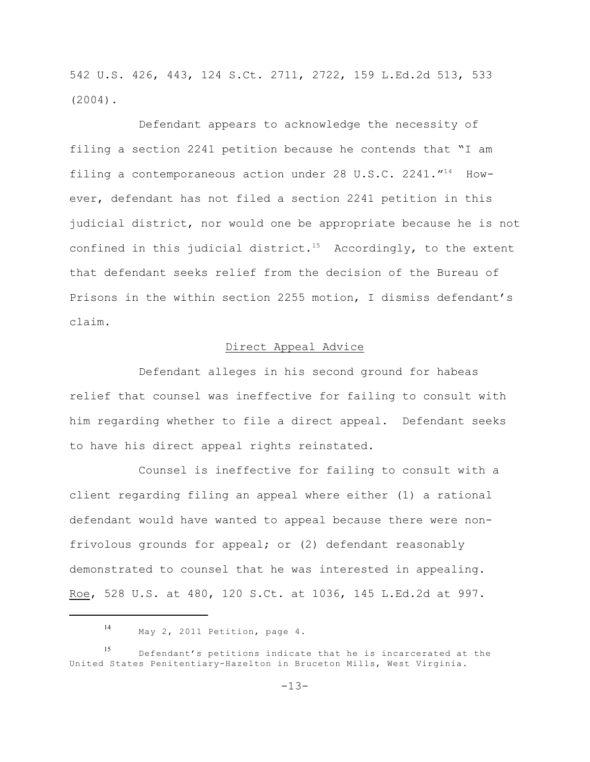542 U.S. 426, 443, 124 S.Ct. 2711, 2722, 159 L.Ed.2d 513, 533 (2004).

Defendant appears to acknowledge the necessity of filing a section 2241 petition because he contends that "I am filing a contemporaneous action under 28 U.S.C. 2241. $^{\prime\prime +4}$  However, defendant has not filed a section 2241 petition in this judicial district, nor would one be appropriate because he is not confined in this judicial district.<sup>15</sup> Accordingly, to the extent that defendant seeks relief from the decision of the Bureau of Prisons in the within section 2255 motion, I dismiss defendant's claim.

## Direct Appeal Advice

Defendant alleges in his second ground for habeas relief that counsel was ineffective for failing to consult with him regarding whether to file a direct appeal. Defendant seeks to have his direct appeal rights reinstated.

Counsel is ineffective for failing to consult with a client regarding filing an appeal where either (1) a rational defendant would have wanted to appeal because there were nonfrivolous grounds for appeal; or (2) defendant reasonably demonstrated to counsel that he was interested in appealing. Roe, 528 U.S. at 480, 120 S.Ct. at 1036, 145 L.Ed.2d at 997.

May 2, 2011 Petition, page 4. 14

Defendant's petitions indicate that he is incarcerated at the 15 United States Penitentiary-Hazelton in Bruceton Mills, West Virginia.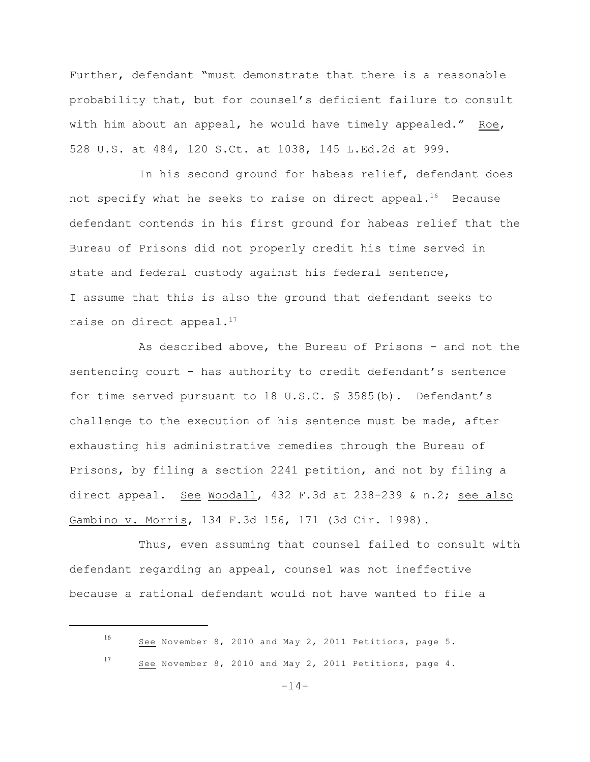Further, defendant "must demonstrate that there is a reasonable probability that, but for counsel's deficient failure to consult with him about an appeal, he would have timely appealed." Roe, 528 U.S. at 484, 120 S.Ct. at 1038, 145 L.Ed.2d at 999.

In his second ground for habeas relief, defendant does not specify what he seeks to raise on direct appeal.<sup>16</sup> Because defendant contends in his first ground for habeas relief that the Bureau of Prisons did not properly credit his time served in state and federal custody against his federal sentence, I assume that this is also the ground that defendant seeks to raise on direct appeal.<sup>17</sup>

As described above, the Bureau of Prisons - and not the sentencing court - has authority to credit defendant's sentence for time served pursuant to 18 U.S.C. § 3585(b). Defendant's challenge to the execution of his sentence must be made, after exhausting his administrative remedies through the Bureau of Prisons, by filing a section 2241 petition, and not by filing a direct appeal. See Woodall, 432 F.3d at 238-239 & n.2; see also Gambino v. Morris, 134 F.3d 156, 171 (3d Cir. 1998).

Thus, even assuming that counsel failed to consult with defendant regarding an appeal, counsel was not ineffective because a rational defendant would not have wanted to file a

See November 8, 2010 and May 2, 2011 Petitions, page 5. 16

See November 8, 2010 and May 2, 2011 Petitions, page 4. 17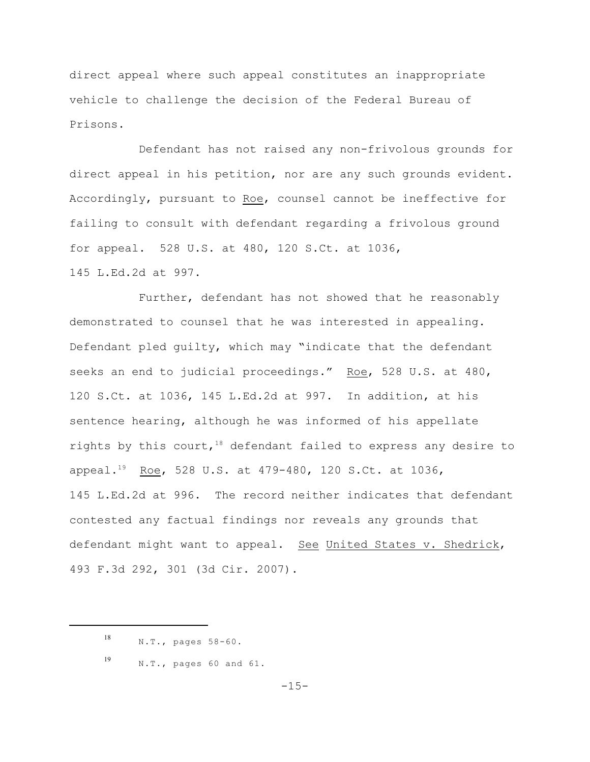direct appeal where such appeal constitutes an inappropriate vehicle to challenge the decision of the Federal Bureau of Prisons.

Defendant has not raised any non-frivolous grounds for direct appeal in his petition, nor are any such grounds evident. Accordingly, pursuant to Roe, counsel cannot be ineffective for failing to consult with defendant regarding a frivolous ground for appeal. 528 U.S. at 480, 120 S.Ct. at 1036,

145 L.Ed.2d at 997.

Further, defendant has not showed that he reasonably demonstrated to counsel that he was interested in appealing. Defendant pled guilty, which may "indicate that the defendant seeks an end to judicial proceedings." Roe, 528 U.S. at 480, 120 S.Ct. at 1036, 145 L.Ed.2d at 997. In addition, at his sentence hearing, although he was informed of his appellate rights by this court,  $18$  defendant failed to express any desire to appeal.<sup>19</sup> Roe, 528 U.S. at 479-480, 120 S.Ct. at 1036, 145 L.Ed.2d at 996. The record neither indicates that defendant contested any factual findings nor reveals any grounds that defendant might want to appeal. See United States v. Shedrick, 493 F.3d 292, 301 (3d Cir. 2007).

 $-15-$ 

N.T., pages 58-60. 18

N.T., pages 60 and 61. 19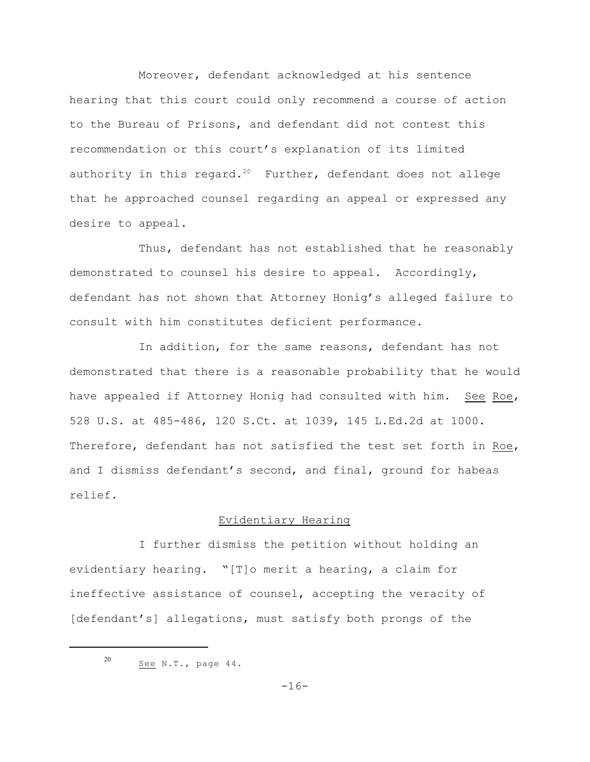Moreover, defendant acknowledged at his sentence hearing that this court could only recommend a course of action to the Bureau of Prisons, and defendant did not contest this recommendation or this court's explanation of its limited authority in this regard.<sup>20</sup> Further, defendant does not allege that he approached counsel regarding an appeal or expressed any desire to appeal.

Thus, defendant has not established that he reasonably demonstrated to counsel his desire to appeal. Accordingly, defendant has not shown that Attorney Honig's alleged failure to consult with him constitutes deficient performance.

In addition, for the same reasons, defendant has not demonstrated that there is a reasonable probability that he would have appealed if Attorney Honig had consulted with him. See Roe, 528 U.S. at 485-486, 120 S.Ct. at 1039, 145 L.Ed.2d at 1000. Therefore, defendant has not satisfied the test set forth in Roe, and I dismiss defendant's second, and final, ground for habeas relief.

## Evidentiary Hearing

I further dismiss the petition without holding an evidentiary hearing. "[T]o merit a hearing, a claim for ineffective assistance of counsel, accepting the veracity of [defendant's] allegations, must satisfy both prongs of the

See N.T., page 44. 20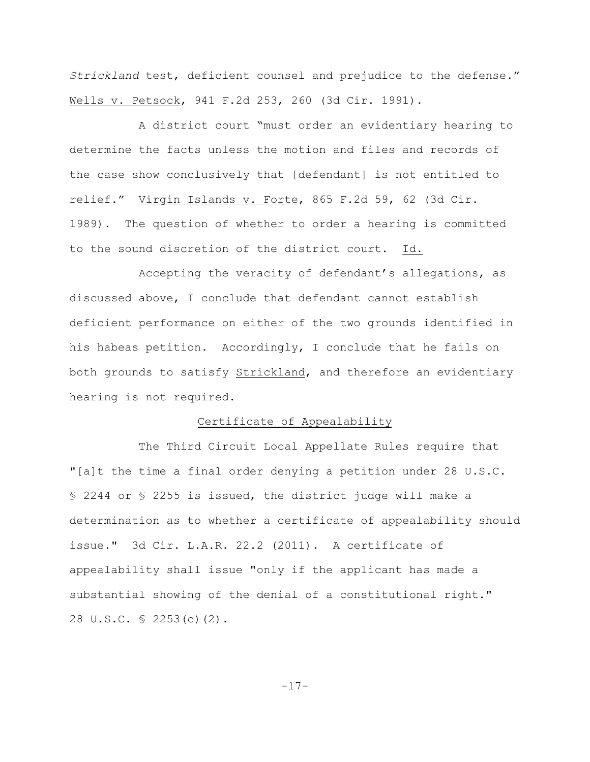*Strickland* test, deficient counsel and prejudice to the defense." Wells v. Petsock, 941 F.2d 253, 260 (3d Cir. 1991).

A district court "must order an evidentiary hearing to determine the facts unless the motion and files and records of the case show conclusively that [defendant] is not entitled to relief." Virgin Islands v. Forte, 865 F.2d 59, 62 (3d Cir. 1989). The question of whether to order a hearing is committed to the sound discretion of the district court. Id.

Accepting the veracity of defendant's allegations, as discussed above, I conclude that defendant cannot establish deficient performance on either of the two grounds identified in his habeas petition. Accordingly, I conclude that he fails on both grounds to satisfy Strickland, and therefore an evidentiary hearing is not required.

### Certificate of Appealability

The Third Circuit Local Appellate Rules require that "[a]t the time a final order denying a petition under 28 U.S.C. § 2244 or § 2255 is issued, the district judge will make a determination as to whether a certificate of appealability should issue." 3d Cir. L.A.R. 22.2 (2011). A certificate of appealability shall issue "only if the applicant has made a substantial showing of the denial of a constitutional right." 28 U.S.C. § 2253(c)(2).

-17-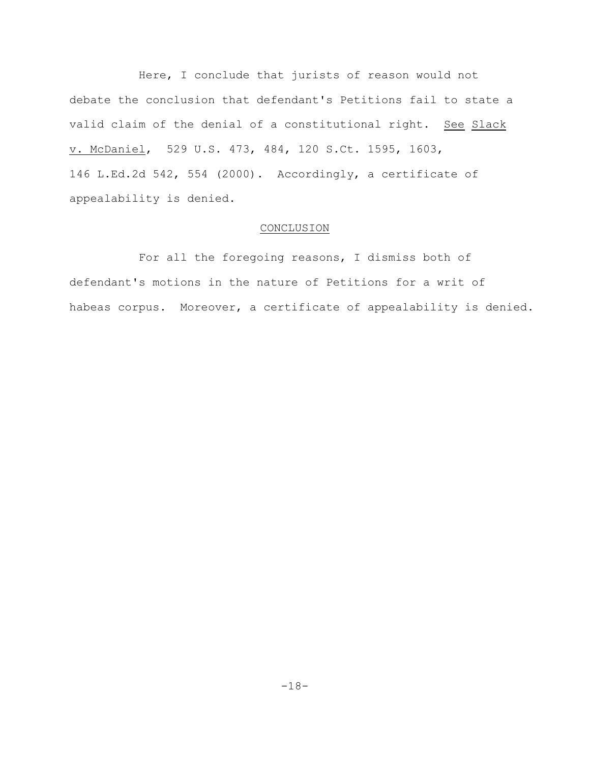Here, I conclude that jurists of reason would not debate the conclusion that defendant's Petitions fail to state a valid claim of the denial of a constitutional right. See Slack v. McDaniel, 529 U.S. 473, 484, 120 S.Ct. 1595, 1603, 146 L.Ed.2d 542, 554 (2000). Accordingly, a certificate of appealability is denied.

## CONCLUSION

For all the foregoing reasons, I dismiss both of defendant's motions in the nature of Petitions for a writ of habeas corpus. Moreover, a certificate of appealability is denied.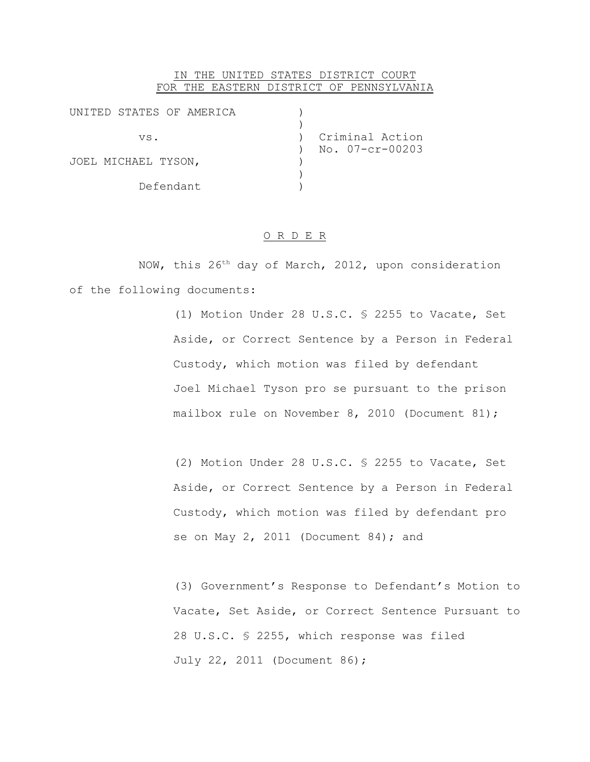## IN THE UNITED STATES DISTRICT COURT FOR THE EASTERN DISTRICT OF PENNSYLVANIA

| UNITED STATES OF AMERICA |                 |
|--------------------------|-----------------|
|                          |                 |
| VS.                      | Criminal Action |
|                          | No. 07-cr-00203 |
| JOEL MICHAEL TYSON,      |                 |
|                          |                 |
| Defendant                |                 |

## O R D E R

NOW, this  $26<sup>th</sup>$  day of March, 2012, upon consideration of the following documents:

> (1) Motion Under 28 U.S.C. § 2255 to Vacate, Set Aside, or Correct Sentence by a Person in Federal Custody, which motion was filed by defendant Joel Michael Tyson pro se pursuant to the prison mailbox rule on November 8, 2010 (Document 81);

> (2) Motion Under 28 U.S.C. § 2255 to Vacate, Set Aside, or Correct Sentence by a Person in Federal Custody, which motion was filed by defendant pro se on May 2, 2011 (Document 84); and

(3) Government's Response to Defendant's Motion to Vacate, Set Aside, or Correct Sentence Pursuant to 28 U.S.C. § 2255, which response was filed July 22, 2011 (Document 86);